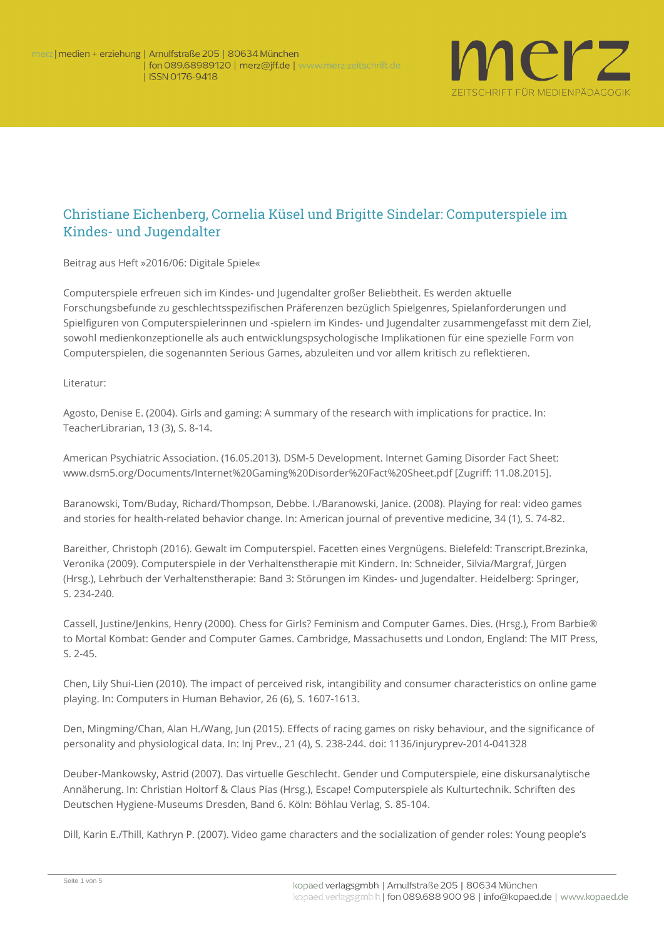

## Christiane Eichenberg, Cornelia Küsel und Brigitte Sindelar: Computerspiele im Kindes- und Jugendalter

**Beitrag aus Heft »2016/06: Digitale Spiele«**

Computerspiele erfreuen sich im Kindes- und Jugendalter großer Beliebtheit. Es werden aktuelle Forschungsbefunde zu geschlechtsspezifischen Präferenzen bezüglich Spielgenres, Spielanforderungen und Spielfiguren von Computerspielerinnen und -spielern im Kindes- und Jugendalter zusammengefasst mit dem Ziel, sowohl medienkonzeptionelle als auch entwicklungspsychologische Implikationen für eine spezielle Form von Computerspielen, die sogenannten Serious Games, abzuleiten und vor allem kritisch zu reflektieren.

**Literatur**:

Agosto, Denise E. (2004). Girls and gaming: A summary of the research with implications for practice. In: TeacherLibrarian, 13 (3), S. 8-14.

American Psychiatric Association. (16.05.2013). DSM-5 Development. Internet Gaming Disorder Fact Sheet: www.dsm5.org/Documents/Internet%20Gaming%20Disorder%20Fact%20Sheet.pdf [Zugriff: 11.08.2015].

Baranowski, Tom/Buday, Richard/Thompson, Debbe. I./Baranowski, Janice. (2008). Playing for real: video games and stories for health-related behavior change. In: American journal of preventive medicine, 34 (1), S. 74-82.

Bareither, Christoph (2016). Gewalt im Computerspiel. Facetten eines Vergnügens. Bielefeld: Transcript.Brezinka, Veronika (2009). Computerspiele in der Verhaltenstherapie mit Kindern. In: Schneider, Silvia/Margraf, Jürgen (Hrsg.), Lehrbuch der Verhaltenstherapie: Band 3: Störungen im Kindes- und Jugendalter. Heidelberg: Springer, S. 234-240.

Cassell, Justine/Jenkins, Henry (2000). Chess for Girls? Feminism and Computer Games. Dies. (Hrsg.), From Barbie® to Mortal Kombat: Gender and Computer Games. Cambridge, Massachusetts und London, England: The MIT Press, S. 2-45.

Chen, Lily Shui-Lien (2010). The impact of perceived risk, intangibility and consumer characteristics on online game playing. In: Computers in Human Behavior, 26 (6), S. 1607-1613.

Den, Mingming/Chan, Alan H./Wang, Jun (2015). Effects of racing games on risky behaviour, and the significance of personality and physiological data. In: Inj Prev., 21 (4), S. 238-244. doi: 1136/injuryprev-2014-041328

Deuber-Mankowsky, Astrid (2007). Das virtuelle Geschlecht. Gender und Computerspiele, eine diskursanalytische Annäherung. In: Christian Holtorf & Claus Pias (Hrsg.), Escape! Computerspiele als Kulturtechnik. Schriften des Deutschen Hygiene-Museums Dresden, Band 6. Köln: Böhlau Verlag, S. 85-104.

Dill, Karin E./Thill, Kathryn P. (2007). Video game characters and the socialization of gender roles: Young people's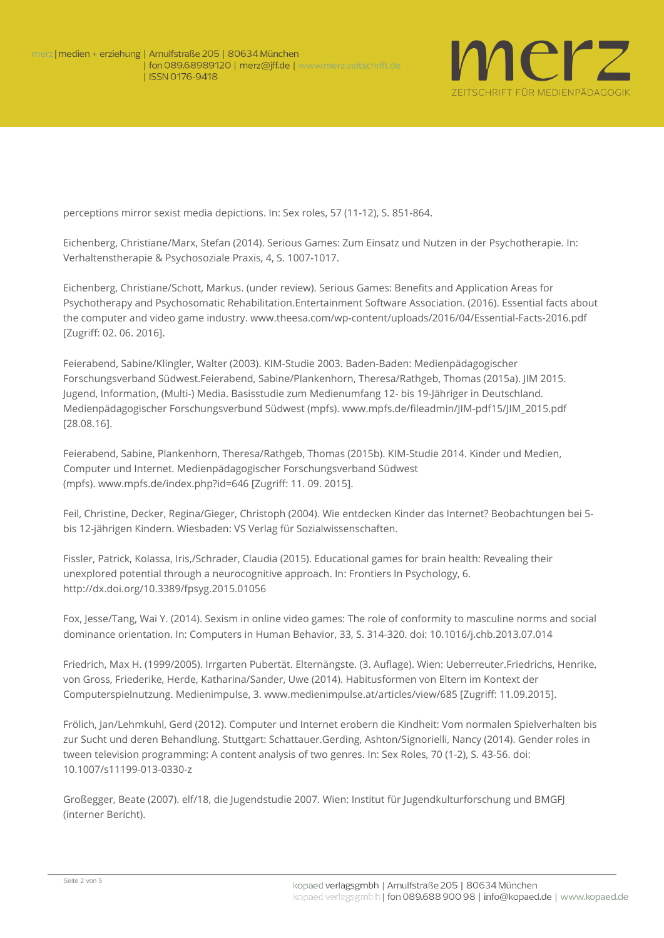

perceptions mirror sexist media depictions. In: Sex roles, 57 (11-12), S. 851-864.

Eichenberg, Christiane/Marx, Stefan (2014). Serious Games: Zum Einsatz und Nutzen in der Psychotherapie. In: Verhaltenstherapie & Psychosoziale Praxis, 4, S. 1007-1017.

Eichenberg, Christiane/Schott, Markus. (under review). Serious Games: Benefits and Application Areas for Psychotherapy and Psychosomatic Rehabilitation.Entertainment Software Association. (2016). Essential facts about the computer and video game industry. www.theesa.com/wp-content/uploads/2016/04/Essential-Facts-2016.pdf [Zugriff: 02. 06. 2016].

Feierabend, Sabine/Klingler, Walter (2003). KIM-Studie 2003. Baden-Baden: Medienpädagogischer Forschungsverband Südwest.Feierabend, Sabine/Plankenhorn, Theresa/Rathgeb, Thomas (2015a). JIM 2015. Jugend, Information, (Multi-) Media. Basisstudie zum Medienumfang 12- bis 19-Jähriger in Deutschland. Medienpädagogischer Forschungsverbund Südwest (mpfs). www.mpfs.de/fileadmin/JIM-pdf15/JIM\_2015.pdf [28.08.16].

Feierabend, Sabine, Plankenhorn, Theresa/Rathgeb, Thomas (2015b). KIM-Studie 2014. Kinder und Medien, Computer und Internet. Medienpädagogischer Forschungsverband Südwest (mpfs). www.mpfs.de/index.php?id=646 [Zugriff: 11. 09. 2015].

Feil, Christine, Decker, Regina/Gieger, Christoph (2004). Wie entdecken Kinder das Internet? Beobachtungen bei 5 bis 12-jährigen Kindern. Wiesbaden: VS Verlag für Sozialwissenschaften.

Fissler, Patrick, Kolassa, Iris,/Schrader, Claudia (2015). Educational games for brain health: Revealing their unexplored potential through a neurocognitive approach. In: Frontiers In Psychology, 6. <http://dx.doi.org/10.3389/fpsyg.2015.01056>

Fox, Jesse/Tang, Wai Y. (2014). Sexism in online video games: The role of conformity to masculine norms and social dominance orientation. In: Computers in Human Behavior, 33, S. 314-320. doi: 10.1016/j.chb.2013.07.014

Friedrich, Max H. (1999/2005). Irrgarten Pubertät. Elternängste. (3. Auflage). Wien: Ueberreuter.Friedrichs, Henrike, von Gross, Friederike, Herde, Katharina/Sander, Uwe (2014). Habitusformen von Eltern im Kontext der Computerspielnutzung. Medienimpulse, 3. www.medienimpulse.at/articles/view/685 [Zugriff: 11.09.2015].

Frölich, Jan/Lehmkuhl, Gerd (2012). Computer und Internet erobern die Kindheit: Vom normalen Spielverhalten bis zur Sucht und deren Behandlung. Stuttgart: Schattauer.Gerding, Ashton/Signorielli, Nancy (2014). Gender roles in tween television programming: A content analysis of two genres. In: Sex Roles, 70 (1-2), S. 43-56. doi: 10.1007/s11199-013-0330-z

Großegger, Beate (2007). elf/18, die Jugendstudie 2007. Wien: Institut für Jugendkulturforschung und BMGFJ (interner Bericht).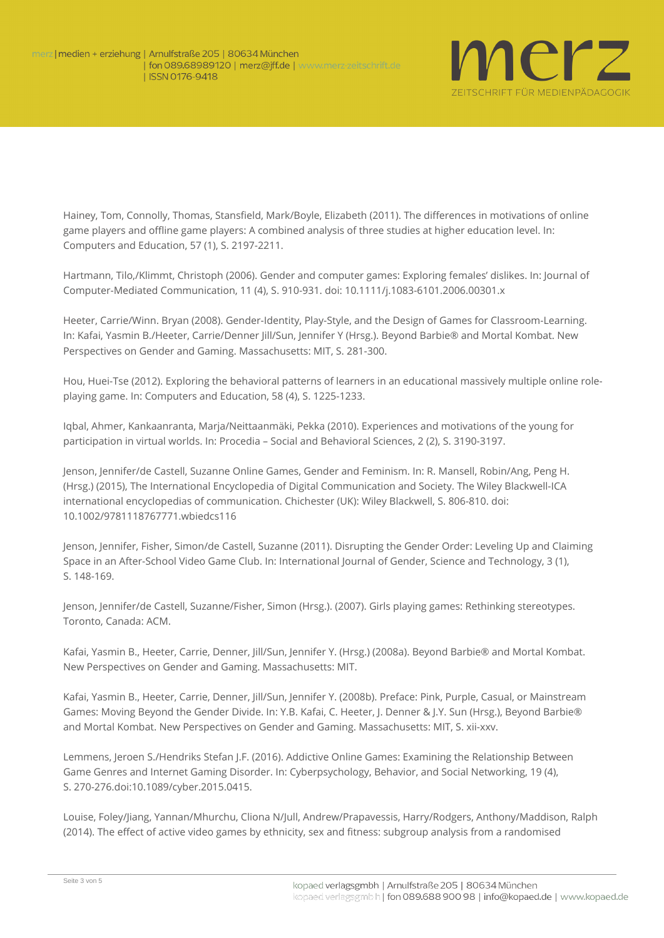

Hainey, Tom, Connolly, Thomas, Stansfield, Mark/Boyle, Elizabeth (2011). The differences in motivations of online game players and offline game players: A combined analysis of three studies at higher education level. In: Computers and Education, 57 (1), S. 2197-2211.

Hartmann, Tilo,/Klimmt, Christoph (2006). Gender and computer games: Exploring females' dislikes. In: Journal of Computer-Mediated Communication, 11 (4), S. 910-931. doi: 10.1111/j.1083-6101.2006.00301.x

Heeter, Carrie/Winn. Bryan (2008). Gender-Identity, Play-Style, and the Design of Games for Classroom-Learning. In: Kafai, Yasmin B./Heeter, Carrie/Denner Jill/Sun, Jennifer Y (Hrsg.). Beyond Barbie® and Mortal Kombat. New Perspectives on Gender and Gaming. Massachusetts: MIT, S. 281-300.

Hou, Huei-Tse (2012). Exploring the behavioral patterns of learners in an educational massively multiple online roleplaying game. In: Computers and Education, 58 (4), S. 1225-1233.

Iqbal, Ahmer, Kankaanranta, Marja/Neittaanmäki, Pekka (2010). Experiences and motivations of the young for participation in virtual worlds. In: Procedia – Social and Behavioral Sciences, 2 (2), S. 3190-3197.

Jenson, Jennifer/de Castell, Suzanne Online Games, Gender and Feminism. In: R. Mansell, Robin/Ang, Peng H. (Hrsg.) (2015), The International Encyclopedia of Digital Communication and Society. The Wiley Blackwell-ICA international encyclopedias of communication. Chichester (UK): Wiley Blackwell, S. 806-810. doi: 10.1002/9781118767771.wbiedcs116

Jenson, Jennifer, Fisher, Simon/de Castell, Suzanne (2011). Disrupting the Gender Order: Leveling Up and Claiming Space in an After-School Video Game Club. In: International Journal of Gender, Science and Technology, 3 (1), S. 148-169.

Jenson, Jennifer/de Castell, Suzanne/Fisher, Simon (Hrsg.). (2007). Girls playing games: Rethinking stereotypes. Toronto, Canada: ACM.

Kafai, Yasmin B., Heeter, Carrie, Denner, Jill/Sun, Jennifer Y. (Hrsg.) (2008a). Beyond Barbie® and Mortal Kombat. New Perspectives on Gender and Gaming. Massachusetts: MIT.

Kafai, Yasmin B., Heeter, Carrie, Denner, Jill/Sun, Jennifer Y. (2008b). Preface: Pink, Purple, Casual, or Mainstream Games: Moving Beyond the Gender Divide. In: Y.B. Kafai, C. Heeter, J. Denner & J.Y. Sun (Hrsg.), Beyond Barbie® and Mortal Kombat. New Perspectives on Gender and Gaming. Massachusetts: MIT, S. xii-xxv.

Lemmens, Jeroen S./Hendriks Stefan J.F. (2016). Addictive Online Games: Examining the Relationship Between Game Genres and Internet Gaming Disorder. In: Cyberpsychology, Behavior, and Social Networking, 19 (4), S. 270-276.doi:10.1089/cyber.2015.0415.

Louise, Foley/Jiang, Yannan/Mhurchu, Cliona N/Jull, Andrew/Prapavessis, Harry/Rodgers, Anthony/Maddison, Ralph (2014). The effect of active video games by ethnicity, sex and fitness: subgroup analysis from a randomised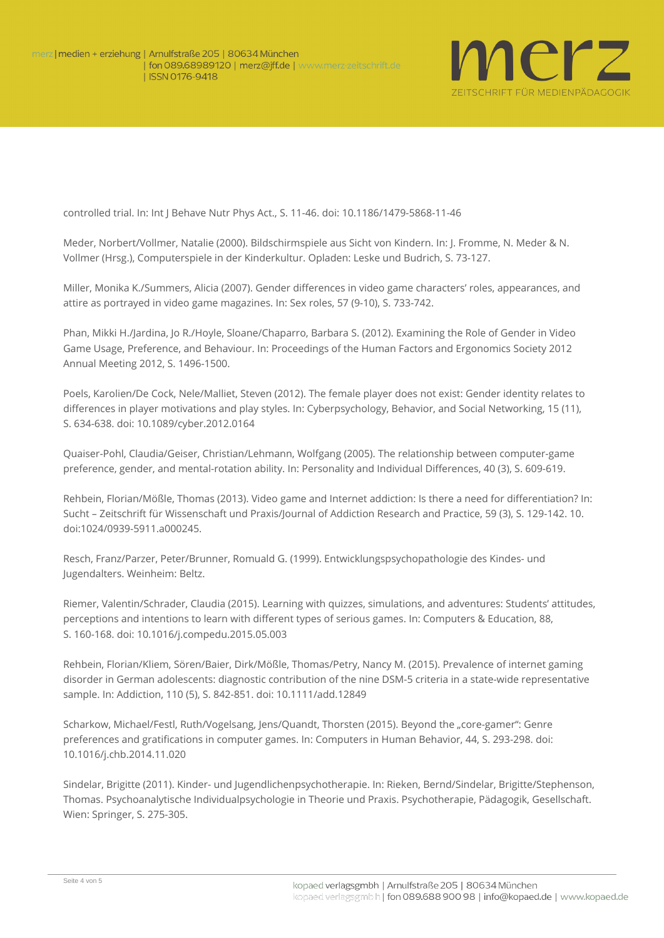

controlled trial. In: Int J Behave Nutr Phys Act., S. 11-46. doi: 10.1186/1479-5868-11-46

Meder, Norbert/Vollmer, Natalie (2000). Bildschirmspiele aus Sicht von Kindern. In: J. Fromme, N. Meder & N. Vollmer (Hrsg.), Computerspiele in der Kinderkultur. Opladen: Leske und Budrich, S. 73-127.

Miller, Monika K./Summers, Alicia (2007). Gender differences in video game characters' roles, appearances, and attire as portrayed in video game magazines. In: Sex roles, 57 (9-10), S. 733-742.

Phan, Mikki H./Jardina, Jo R./Hoyle, Sloane/Chaparro, Barbara S. (2012). Examining the Role of Gender in Video Game Usage, Preference, and Behaviour. In: Proceedings of the Human Factors and Ergonomics Society 2012 Annual Meeting 2012, S. 1496-1500.

Poels, Karolien/De Cock, Nele/Malliet, Steven (2012). The female player does not exist: Gender identity relates to differences in player motivations and play styles. In: Cyberpsychology, Behavior, and Social Networking, 15 (11), S. 634-638. doi: 10.1089/cyber.2012.0164

Quaiser-Pohl, Claudia/Geiser, Christian/Lehmann, Wolfgang (2005). The relationship between computer-game preference, gender, and mental-rotation ability. In: Personality and Individual Differences, 40 (3), S. 609-619.

Rehbein, Florian/Mößle, Thomas (2013). Video game and Internet addiction: Is there a need for differentiation? In: Sucht – Zeitschrift für Wissenschaft und Praxis/Journal of Addiction Research and Practice, 59 (3), S. 129-142. 10. doi:1024/0939-5911.a000245.

Resch, Franz/Parzer, Peter/Brunner, Romuald G. (1999). Entwicklungspsychopathologie des Kindes- und Jugendalters. Weinheim: Beltz.

Riemer, Valentin/Schrader, Claudia (2015). Learning with quizzes, simulations, and adventures: Students' attitudes, perceptions and intentions to learn with different types of serious games. In: Computers & Education, 88, S. 160-168. doi: 10.1016/j.compedu.2015.05.003

Rehbein, Florian/Kliem, Sören/Baier, Dirk/Mößle, Thomas/Petry, Nancy M. (2015). Prevalence of internet gaming disorder in German adolescents: diagnostic contribution of the nine DSM-5 criteria in a state-wide representative sample. In: Addiction, 110 (5), S. 842-851. doi: 10.1111/add.12849

Scharkow, Michael/Festl, Ruth/Vogelsang, Jens/Quandt, Thorsten (2015). Beyond the "core-gamer": Genre preferences and gratifications in computer games. In: Computers in Human Behavior, 44, S. 293-298. doi: 10.1016/j.chb.2014.11.020

Sindelar, Brigitte (2011). Kinder- und Jugendlichenpsychotherapie. In: Rieken, Bernd/Sindelar, Brigitte/Stephenson, Thomas. Psychoanalytische Individualpsychologie in Theorie und Praxis. Psychotherapie, Pädagogik, Gesellschaft. Wien: Springer, S. 275-305.